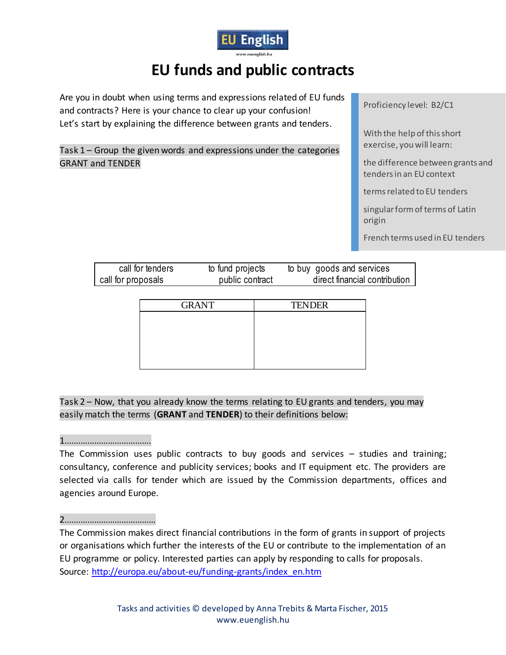

# **EU funds and public contracts**

Are you in doubt when using terms and expressions related of EU funds and contracts? Here is your chance to clear up your confusion! Let's start by explaining the difference between grants and tenders.

Task 1 – Group the given words and expressions under the categories GRANT and TENDER

Proficiency level: B2/C1

With the help of this short exercise, you will learn:

the difference between grants and tenders in an EU context

terms related to EU tenders

singular form of terms of Latin origin

French terms used in EU tenders

| call for tenders   | to fund projects | to buy goods and services     |
|--------------------|------------------|-------------------------------|
| call for proposals | public contract  | direct financial contribution |

| <b>GRANT</b> | <b>TENDER</b> |
|--------------|---------------|
|              |               |
|              |               |
|              |               |
|              |               |
|              |               |

Task 2 – Now, that you already know the terms relating to EU grants and tenders, you may easily match the terms (**GRANT** and **TENDER**) to their definitions below:

1.……………………………….

The Commission uses public contracts to buy goods and services – studies and training; consultancy, conference and publicity services; books and IT equipment etc. The providers are selected via calls for tender which are issued by the Commission departments, offices and agencies around Europe.

## 2.…………………………………

The Commission makes direct financial contributions in the form of grants in support of projects or organisations which further the interests of the EU or contribute to the implementation of an EU programme or policy. Interested parties can apply by responding to calls for proposals. Source: [http://europa.eu/about-eu/funding-grants/index\\_en.htm](http://europa.eu/about-eu/funding-grants/index_en.htm)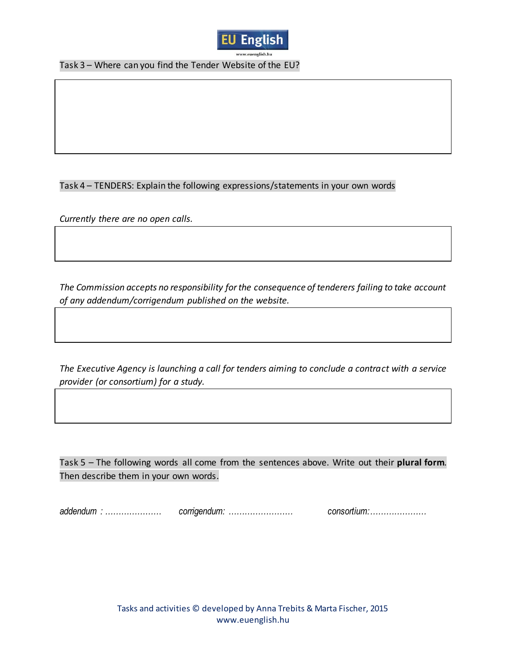

Task 3 – Where can you find the Tender Website of the EU?

#### Task 4 – TENDERS: Explain the following expressions/statements in your own words

*Currently there are no open calls.*

*The Commission accepts no responsibility for the consequence of tenderers failing to take account of any addendum/corrigendum published on the website.*

*The Executive Agency is launching a call for tenders aiming to conclude a contract with a service provider (or consortium) for a study.*

Task 5 – The following words all come from the sentences above. Write out their **plural form**. Then describe them in your own words.

*addendum : ………………… corrigendum: …………………… consortium:…………………*